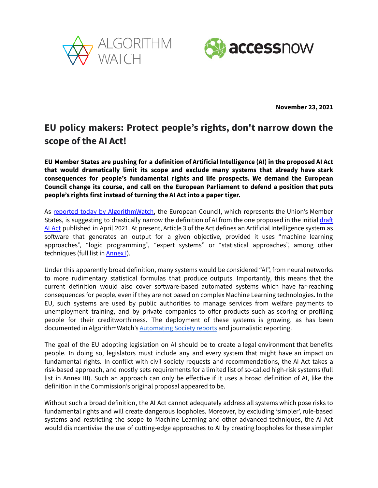



**November 23, 2021**

## **EU policy makers: Protect people's rights, don't narrow down the scope of the AI Act!**

**EU Member States are pushing for a definition of Artificial Intelligence (AI) in the proposed AI Act that would dramatically limit its scope and exclude many systems that already have stark consequences for people's fundamental rights and life prospects. We demand the European Council change its course, and call on the European Parliament to defend a position that puts people's rights first instead of turning the AI Act into a paper tiger.**

As reported today by [AlgorithmWatch](https://algorithmwatch.org/en/eu-narrow-scope-of-ai-act/), the European Council, which represents the Union's Member States, is suggesting to drastically narrow the definition of AI from the one proposed in the initial [draft](https://eur-lex.europa.eu/legal-content/EN/TXT/?uri=CELEX:52021PC0206) AI [Act](https://eur-lex.europa.eu/legal-content/EN/TXT/?uri=CELEX:52021PC0206) published in April 2021. At present, Article 3 of the Act defines an Artificial Intelligence system as software that generates an output for a given objective, provided it uses "machine learning approaches", "logic programming", "expert systems" or "statistical approaches", among other techniques (full list in **[Annex](https://eur-lex.europa.eu/resource.html?uri=cellar:e0649735-a372-11eb-9585-01aa75ed71a1.0001.02/DOC_2&format=PDF) I).** 

Under this apparently broad definition, many systems would be considered "AI", from neural networks to more rudimentary statistical formulas that produce outputs. Importantly, this means that the current definition would also cover software-based automated systems which have far-reaching consequences for people, even if they are not based on complex Machine Learning technologies. In the EU, such systems are used by public authorities to manage services from welfare payments to unemployment training, and by private companies to offer products such as scoring or profiling people for their creditworthiness. The deployment of these systems is growing, as has been documented in AlgorithmWatch's **[Automating](https://algorithmwatch.org/en/automating-society/) Society reports** and journalistic reporting.

The goal of the EU adopting legislation on AI should be to create a legal environment that benefits people. In doing so, legislators must include any and every system that might have an impact on fundamental rights. In conflict with civil society requests and recommendations, the AI Act takes a risk-based approach, and mostly sets requirements for a limited list of so-called high-risk systems (full list in Annex III). Such an approach can only be effective if it uses a broad definition of AI, like the definition in the Commission's original proposal appeared to be.

Without such a broad definition, the AI Act cannot adequately address all systems which pose risks to fundamental rights and will create dangerous loopholes. Moreover, by excluding 'simpler', rule-based systems and restricting the scope to Machine Learning and other advanced techniques, the AI Act would disincentivise the use of cutting-edge approaches to AI by creating loopholes for these simpler